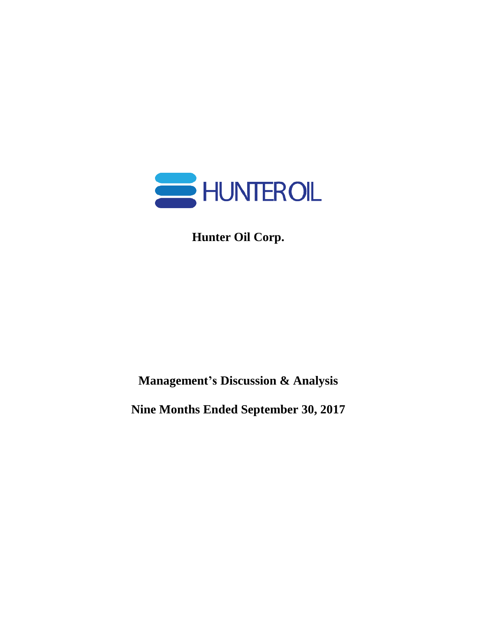

**Hunter Oil Corp.**

**Management's Discussion & Analysis**

**Nine Months Ended September 30, 2017**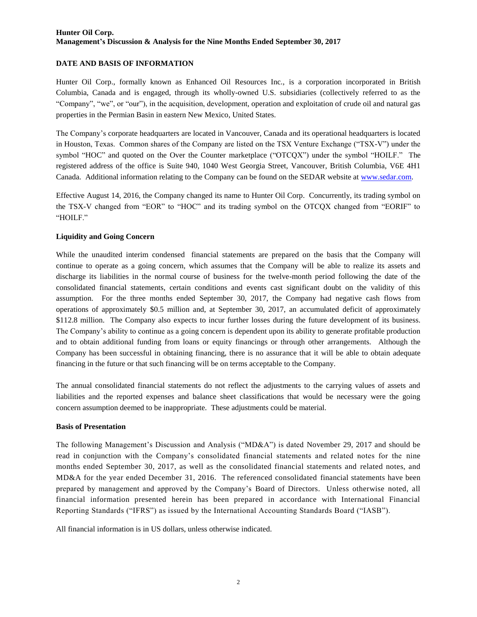### **DATE AND BASIS OF INFORMATION**

Hunter Oil Corp., formally known as Enhanced Oil Resources Inc., is a corporation incorporated in British Columbia, Canada and is engaged, through its wholly-owned U.S. subsidiaries (collectively referred to as the "Company", "we", or "our"), in the acquisition, development, operation and exploitation of crude oil and natural gas properties in the Permian Basin in eastern New Mexico, United States.

The Company's corporate headquarters are located in Vancouver, Canada and its operational headquarters is located in Houston, Texas. Common shares of the Company are listed on the TSX Venture Exchange ("TSX-V") under the symbol "HOC" and quoted on the Over the Counter marketplace ("OTCQX") under the symbol "HOILF." The registered address of the office is Suite 940, 1040 West Georgia Street, Vancouver, British Columbia, V6E 4H1 Canada. Additional information relating to the Company can be found on the SEDAR website at [www.sedar.com.](http://www.sedar.com/)

Effective August 14, 2016, the Company changed its name to Hunter Oil Corp. Concurrently, its trading symbol on the TSX-V changed from "EOR" to "HOC" and its trading symbol on the OTCQX changed from "EORIF" to "HOILF."

### **Liquidity and Going Concern**

While the unaudited interim condensed financial statements are prepared on the basis that the Company will continue to operate as a going concern, which assumes that the Company will be able to realize its assets and discharge its liabilities in the normal course of business for the twelve-month period following the date of the consolidated financial statements, certain conditions and events cast significant doubt on the validity of this assumption. For the three months ended September 30, 2017, the Company had negative cash flows from operations of approximately \$0.5 million and, at September 30, 2017, an accumulated deficit of approximately \$112.8 million. The Company also expects to incur further losses during the future development of its business. The Company's ability to continue as a going concern is dependent upon its ability to generate profitable production and to obtain additional funding from loans or equity financings or through other arrangements. Although the Company has been successful in obtaining financing, there is no assurance that it will be able to obtain adequate financing in the future or that such financing will be on terms acceptable to the Company.

The annual consolidated financial statements do not reflect the adjustments to the carrying values of assets and liabilities and the reported expenses and balance sheet classifications that would be necessary were the going concern assumption deemed to be inappropriate. These adjustments could be material.

### **Basis of Presentation**

The following Management's Discussion and Analysis ("MD&A") is dated November 29, 2017 and should be read in conjunction with the Company's consolidated financial statements and related notes for the nine months ended September 30, 2017, as well as the consolidated financial statements and related notes, and MD&A for the year ended December 31, 2016. The referenced consolidated financial statements have been prepared by management and approved by the Company's Board of Directors. Unless otherwise noted, all financial information presented herein has been prepared in accordance with International Financial Reporting Standards ("IFRS") as issued by the International Accounting Standards Board ("IASB").

All financial information is in US dollars, unless otherwise indicated.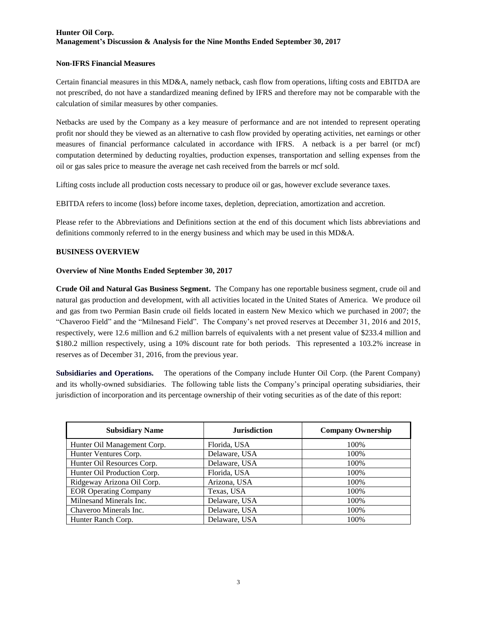### **Non-IFRS Financial Measures**

Certain financial measures in this MD&A, namely netback, cash flow from operations, lifting costs and EBITDA are not prescribed, do not have a standardized meaning defined by IFRS and therefore may not be comparable with the calculation of similar measures by other companies.

Netbacks are used by the Company as a key measure of performance and are not intended to represent operating profit nor should they be viewed as an alternative to cash flow provided by operating activities, net earnings or other measures of financial performance calculated in accordance with IFRS. A netback is a per barrel (or mcf) computation determined by deducting royalties, production expenses, transportation and selling expenses from the oil or gas sales price to measure the average net cash received from the barrels or mcf sold.

Lifting costs include all production costs necessary to produce oil or gas, however exclude severance taxes.

EBITDA refers to income (loss) before income taxes, depletion, depreciation, amortization and accretion.

Please refer to the Abbreviations and Definitions section at the end of this document which lists abbreviations and definitions commonly referred to in the energy business and which may be used in this MD&A.

#### **BUSINESS OVERVIEW**

#### **Overview of Nine Months Ended September 30, 2017**

**Crude Oil and Natural Gas Business Segment.** The Company has one reportable business segment, crude oil and natural gas production and development, with all activities located in the United States of America. We produce oil and gas from two Permian Basin crude oil fields located in eastern New Mexico which we purchased in 2007; the "Chaveroo Field" and the "Milnesand Field". The Company's net proved reserves at December 31, 2016 and 2015, respectively, were 12.6 million and 6.2 million barrels of equivalents with a net present value of \$233.4 million and \$180.2 million respectively, using a 10% discount rate for both periods. This represented a 103.2% increase in reserves as of December 31, 2016, from the previous year.

**Subsidiaries and Operations.** The operations of the Company include Hunter Oil Corp. (the Parent Company) and its wholly-owned subsidiaries. The following table lists the Company's principal operating subsidiaries, their jurisdiction of incorporation and its percentage ownership of their voting securities as of the date of this report:

| <b>Subsidiary Name</b>       | <b>Jurisdiction</b> | <b>Company Ownership</b> |
|------------------------------|---------------------|--------------------------|
| Hunter Oil Management Corp.  | Florida, USA        | 100%                     |
| Hunter Ventures Corp.        | Delaware, USA       | 100%                     |
| Hunter Oil Resources Corp.   | Delaware, USA       | 100%                     |
| Hunter Oil Production Corp.  | Florida, USA        | 100%                     |
| Ridgeway Arizona Oil Corp.   | Arizona, USA        | 100%                     |
| <b>EOR Operating Company</b> | Texas, USA          | 100%                     |
| Milnesand Minerals Inc.      | Delaware, USA       | 100%                     |
| Chaveroo Minerals Inc.       | Delaware, USA       | 100%                     |
| Hunter Ranch Corp.           | Delaware, USA       | 100%                     |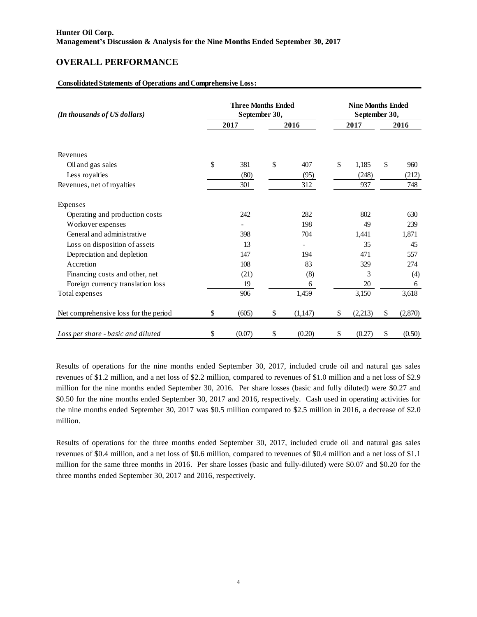# **OVERALL PERFORMANCE**

### **Consolidated Statements of Operations and Comprehensive Loss:**

| (In thousands of US dollars)          | <b>Three Months Ended</b><br>September 30, |    | <b>Nine Months Ended</b><br>September 30, |    |         |    |         |  |  |  |
|---------------------------------------|--------------------------------------------|----|-------------------------------------------|----|---------|----|---------|--|--|--|
|                                       | 2017                                       |    | 2016                                      |    | 2017    |    | 2016    |  |  |  |
| Revenues                              |                                            |    |                                           |    |         |    |         |  |  |  |
| Oil and gas sales                     | \$<br>381                                  | \$ | 407                                       | \$ | 1,185   | \$ | 960     |  |  |  |
| Less royalties                        | (80)                                       |    | (95)                                      |    | (248)   |    | (212)   |  |  |  |
| Revenues, net of royalties            | 301                                        |    | 312                                       |    | 937     |    | 748     |  |  |  |
| Expenses                              |                                            |    |                                           |    |         |    |         |  |  |  |
| Operating and production costs        | 242                                        |    | 282                                       |    | 802     |    | 630     |  |  |  |
| Workover expenses                     |                                            |    | 198                                       |    | 49      |    | 239     |  |  |  |
| General and administrative            | 398                                        |    | 704                                       |    | 1,441   |    | 1,871   |  |  |  |
| Loss on disposition of assets         | 13                                         |    | $\overline{\phantom{a}}$                  |    | 35      |    | 45      |  |  |  |
| Depreciation and depletion            | 147                                        |    | 194                                       |    | 471     |    | 557     |  |  |  |
| Accretion                             | 108                                        |    | 83                                        |    | 329     |    | 274     |  |  |  |
| Financing costs and other, net        | (21)                                       |    | (8)                                       |    | 3       |    | (4)     |  |  |  |
| Foreign currency translation loss     | 19                                         |    | 6                                         |    | 20      |    | 6       |  |  |  |
| Total expenses                        | 906                                        |    | 1,459                                     |    | 3,150   |    | 3,618   |  |  |  |
| Net comprehensive loss for the period | \$<br>(605)                                | \$ | (1,147)                                   | \$ | (2,213) | \$ | (2,870) |  |  |  |
| Loss per share - basic and diluted    | \$<br>(0.07)                               | \$ | (0.20)                                    | \$ | (0.27)  | \$ | (0.50)  |  |  |  |

Results of operations for the nine months ended September 30, 2017, included crude oil and natural gas sales revenues of \$1.2 million, and a net loss of \$2.2 million, compared to revenues of \$1.0 million and a net loss of \$2.9 million for the nine months ended September 30, 2016. Per share losses (basic and fully diluted) were \$0.27 and \$0.50 for the nine months ended September 30, 2017 and 2016, respectively. Cash used in operating activities for the nine months ended September 30, 2017 was \$0.5 million compared to \$2.5 million in 2016, a decrease of \$2.0 million.

Results of operations for the three months ended September 30, 2017, included crude oil and natural gas sales revenues of \$0.4 million, and a net loss of \$0.6 million, compared to revenues of \$0.4 million and a net loss of \$1.1 million for the same three months in 2016. Per share losses (basic and fully-diluted) were \$0.07 and \$0.20 for the three months ended September 30, 2017 and 2016, respectively.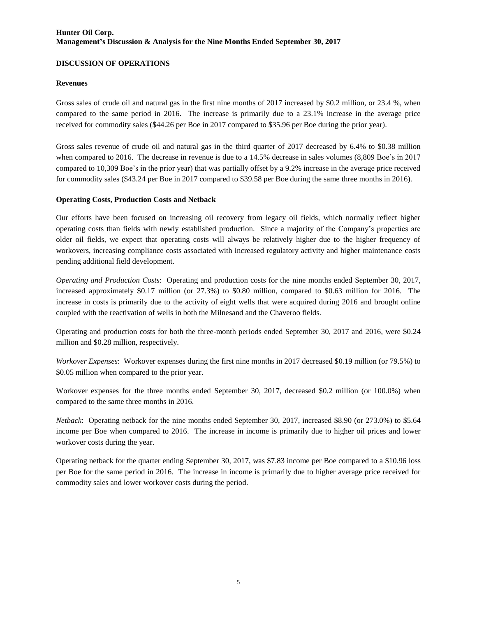### **DISCUSSION OF OPERATIONS**

### **Revenues**

Gross sales of crude oil and natural gas in the first nine months of 2017 increased by \$0.2 million, or 23.4 %, when compared to the same period in 2016. The increase is primarily due to a 23.1% increase in the average price received for commodity sales (\$44.26 per Boe in 2017 compared to \$35.96 per Boe during the prior year).

Gross sales revenue of crude oil and natural gas in the third quarter of 2017 decreased by 6.4% to \$0.38 million when compared to 2016. The decrease in revenue is due to a 14.5% decrease in sales volumes (8,809 Boe's in 2017 compared to 10,309 Boe's in the prior year) that was partially offset by a 9.2% increase in the average price received for commodity sales (\$43.24 per Boe in 2017 compared to \$39.58 per Boe during the same three months in 2016).

### **Operating Costs, Production Costs and Netback**

Our efforts have been focused on increasing oil recovery from legacy oil fields, which normally reflect higher operating costs than fields with newly established production. Since a majority of the Company's properties are older oil fields, we expect that operating costs will always be relatively higher due to the higher frequency of workovers, increasing compliance costs associated with increased regulatory activity and higher maintenance costs pending additional field development.

*Operating and Production Costs*: Operating and production costs for the nine months ended September 30, 2017, increased approximately \$0.17 million (or 27.3%) to \$0.80 million, compared to \$0.63 million for 2016. The increase in costs is primarily due to the activity of eight wells that were acquired during 2016 and brought online coupled with the reactivation of wells in both the Milnesand and the Chaveroo fields.

Operating and production costs for both the three-month periods ended September 30, 2017 and 2016, were \$0.24 million and \$0.28 million, respectively.

*Workover Expenses*: Workover expenses during the first nine months in 2017 decreased \$0.19 million (or 79.5%) to \$0.05 million when compared to the prior year.

Workover expenses for the three months ended September 30, 2017, decreased \$0.2 million (or 100.0%) when compared to the same three months in 2016.

*Netback*: Operating netback for the nine months ended September 30, 2017, increased \$8.90 (or 273.0%) to \$5.64 income per Boe when compared to 2016. The increase in income is primarily due to higher oil prices and lower workover costs during the year.

Operating netback for the quarter ending September 30, 2017, was \$7.83 income per Boe compared to a \$10.96 loss per Boe for the same period in 2016. The increase in income is primarily due to higher average price received for commodity sales and lower workover costs during the period.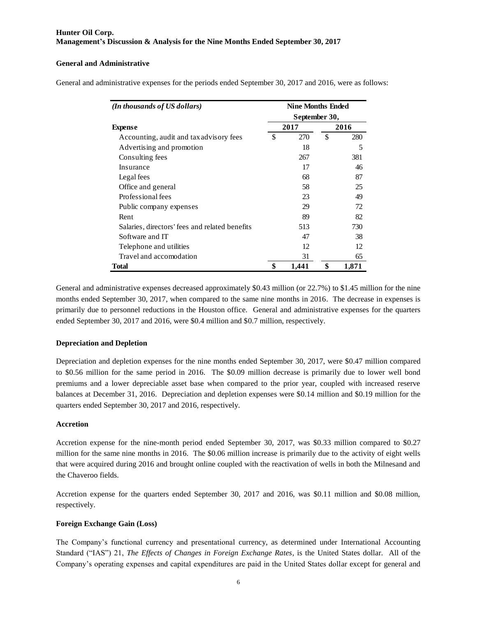#### **General and Administrative**

General and administrative expenses for the periods ended September 30, 2017 and 2016, were as follows:

| (In thousands of US dollars)                   | <b>Nine Months Ended</b> |    |       |  |  |  |  |  |  |  |  |
|------------------------------------------------|--------------------------|----|-------|--|--|--|--|--|--|--|--|
|                                                | September 30,            |    |       |  |  |  |  |  |  |  |  |
| <b>Expense</b>                                 | 2017                     |    | 2016  |  |  |  |  |  |  |  |  |
| Accounting, audit and tax advisory fees        | \$<br>270                | \$ | 280   |  |  |  |  |  |  |  |  |
| Advertising and promotion                      | 18                       |    | 5     |  |  |  |  |  |  |  |  |
| Consulting fees                                | 267                      |    | 381   |  |  |  |  |  |  |  |  |
| Insurance                                      | 17                       |    | 46    |  |  |  |  |  |  |  |  |
| Legal fees                                     | 68                       |    | 87    |  |  |  |  |  |  |  |  |
| Office and general                             | 58                       |    | 25    |  |  |  |  |  |  |  |  |
| Professional fees                              | 23                       |    | 49    |  |  |  |  |  |  |  |  |
| Public company expenses                        | 29                       |    | 72    |  |  |  |  |  |  |  |  |
| Rent                                           | 89                       |    | 82    |  |  |  |  |  |  |  |  |
| Salaries, directors' fees and related benefits | 513                      |    | 730   |  |  |  |  |  |  |  |  |
| Software and IT                                | 47                       |    | 38    |  |  |  |  |  |  |  |  |
| Telephone and utilities                        | 12                       |    | 12    |  |  |  |  |  |  |  |  |
| Travel and accomodation                        | 31                       |    | 65    |  |  |  |  |  |  |  |  |
| Total                                          | \$<br>1,441              | \$ | 1,871 |  |  |  |  |  |  |  |  |

General and administrative expenses decreased approximately \$0.43 million (or 22.7%) to \$1.45 million for the nine months ended September 30, 2017, when compared to the same nine months in 2016. The decrease in expenses is primarily due to personnel reductions in the Houston office. General and administrative expenses for the quarters ended September 30, 2017 and 2016, were \$0.4 million and \$0.7 million, respectively.

### **Depreciation and Depletion**

Depreciation and depletion expenses for the nine months ended September 30, 2017, were \$0.47 million compared to \$0.56 million for the same period in 2016. The \$0.09 million decrease is primarily due to lower well bond premiums and a lower depreciable asset base when compared to the prior year, coupled with increased reserve balances at December 31, 2016. Depreciation and depletion expenses were \$0.14 million and \$0.19 million for the quarters ended September 30, 2017 and 2016, respectively.

#### **Accretion**

Accretion expense for the nine-month period ended September 30, 2017, was \$0.33 million compared to \$0.27 million for the same nine months in 2016. The \$0.06 million increase is primarily due to the activity of eight wells that were acquired during 2016 and brought online coupled with the reactivation of wells in both the Milnesand and the Chaveroo fields.

Accretion expense for the quarters ended September 30, 2017 and 2016, was \$0.11 million and \$0.08 million, respectively.

### **Foreign Exchange Gain (Loss)**

The Company's functional currency and presentational currency, as determined under International Accounting Standard ("IAS") 21, *The Effects of Changes in Foreign Exchange Rates*, is the United States dollar. All of the Company's operating expenses and capital expenditures are paid in the United States dollar except for general and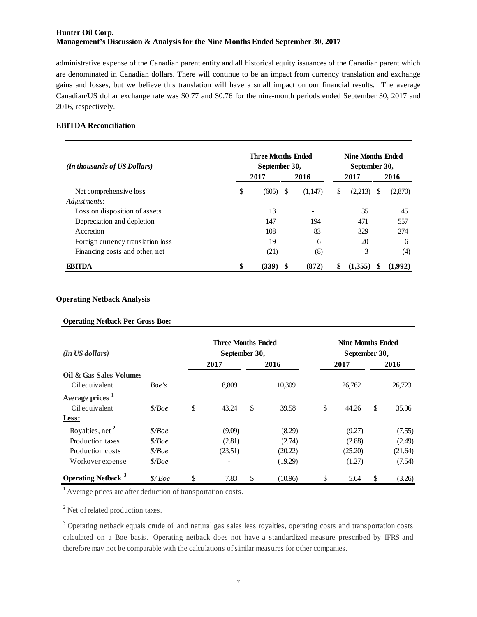administrative expense of the Canadian parent entity and all historical equity issuances of the Canadian parent which are denominated in Canadian dollars. There will continue to be an impact from currency translation and exchange gains and losses, but we believe this translation will have a small impact on our financial results. The average Canadian/US dollar exchange rate was \$0.77 and \$0.76 for the nine-month periods ended September 30, 2017 and 2016, respectively.

#### **EBITDA Reconciliation**

| (In thousands of US Dollars)      | <b>Three Months Ended</b><br>September 30, | <b>Nine Months Ended</b><br>September 30, |         |   |         |      |         |  |
|-----------------------------------|--------------------------------------------|-------------------------------------------|---------|---|---------|------|---------|--|
|                                   | 2017                                       |                                           | 2016    |   | 2017    | 2016 |         |  |
| Net comprehensive loss            | \$<br>(605)                                | S                                         | (1,147) | S | (2,213) | S    | (2,870) |  |
| Adjustments:                      |                                            |                                           |         |   |         |      |         |  |
| Loss on disposition of assets     | 13                                         |                                           |         |   | 35      |      | 45      |  |
| Depreciation and depletion        | 147                                        |                                           | 194     |   | 471     |      | 557     |  |
| Accretion                         | 108                                        |                                           | 83      |   | 329     |      | 274     |  |
| Foreign currency translation loss | 19                                         |                                           | 6       |   | 20      |      | 6       |  |
| Financing costs and other, net    | (21)                                       |                                           | (8)     |   | 3       |      | (4)     |  |
| FRITDA                            | \$<br>(339)                                |                                           | (872)   |   | (1,355) |      | (1,992) |  |

#### **Operating Netback Analysis**

#### **Operating Netback Per Gross Boe:**

| (In US dollars)                       | <b>Three Months Ended</b><br>September 30, |             | <b>Nine Months Ended</b><br>September 30, |    |         |    |         |  |  |
|---------------------------------------|--------------------------------------------|-------------|-------------------------------------------|----|---------|----|---------|--|--|
|                                       |                                            | 2017        | 2016                                      |    | 2017    |    | 2016    |  |  |
| Oil & Gas Sales Volumes               |                                            |             |                                           |    |         |    |         |  |  |
| Oil equivalent                        | Boe's                                      | 8,809       | 10,309                                    |    | 26,762  |    | 26,723  |  |  |
| Average prices <sup>1</sup>           |                                            |             |                                           |    |         |    |         |  |  |
| Oil equivalent                        | \$/Boe                                     | \$<br>43.24 | \$<br>39.58                               | \$ | 44.26   | \$ | 35.96   |  |  |
| Less:                                 |                                            |             |                                           |    |         |    |         |  |  |
| Royalties, net <sup>2</sup>           | \$/Boe                                     | (9.09)      | (8.29)                                    |    | (9.27)  |    | (7.55)  |  |  |
| Production taxes                      | $\mathcal{S}/Boe$                          | (2.81)      | (2.74)                                    |    | (2.88)  |    | (2.49)  |  |  |
| Production costs                      | \$/Boe\$                                   | (23.51)     | (20.22)                                   |    | (25.20) |    | (21.64) |  |  |
| Workover expense                      | \$/Boe                                     |             | (19.29)                                   |    | (1.27)  |    | (7.54)  |  |  |
| <b>Operating Netback</b> <sup>3</sup> | \$/Boe                                     | \$<br>7.83  | \$<br>(10.96)                             | \$ | 5.64    | \$ | (3.26)  |  |  |

**1** Average prices are after deduction of transportation costs.

<sup>2</sup> Net of related production taxes.

 $3$  Operating netback equals crude oil and natural gas sales less royalties, operating costs and transportation costs <sup>2</sup> Net of related production taxes.<br><sup>3</sup> Operating netback equals crude oil and natural gas sales less royalties, operating costs and transportation costs calculated on a Boe basis. Operating netback does not have a standa therefore may not be comparable with the calculations of similar measures for other companies.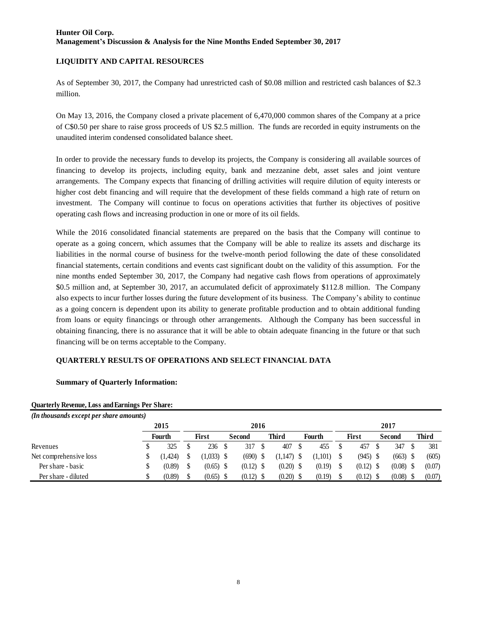### **LIQUIDITY AND CAPITAL RESOURCES**

As of September 30, 2017, the Company had unrestricted cash of \$0.08 million and restricted cash balances of \$2.3 million.

On May 13, 2016, the Company closed a private placement of 6,470,000 common shares of the Company at a price of C\$0.50 per share to raise gross proceeds of US \$2.5 million. The funds are recorded in equity instruments on the unaudited interim condensed consolidated balance sheet.

In order to provide the necessary funds to develop its projects, the Company is considering all available sources of financing to develop its projects, including equity, bank and mezzanine debt, asset sales and joint venture arrangements. The Company expects that financing of drilling activities will require dilution of equity interests or higher cost debt financing and will require that the development of these fields command a high rate of return on investment. The Company will continue to focus on operations activities that further its objectives of positive operating cash flows and increasing production in one or more of its oil fields.

While the 2016 consolidated financial statements are prepared on the basis that the Company will continue to operate as a going concern, which assumes that the Company will be able to realize its assets and discharge its liabilities in the normal course of business for the twelve-month period following the date of these consolidated financial statements, certain conditions and events cast significant doubt on the validity of this assumption. For the nine months ended September 30, 2017, the Company had negative cash flows from operations of approximately \$0.5 million and, at September 30, 2017, an accumulated deficit of approximately \$112.8 million. The Company also expects to incur further losses during the future development of its business. The Company's ability to continue as a going concern is dependent upon its ability to generate profitable production and to obtain additional funding from loans or equity financings or through other arrangements. Although the Company has been successful in obtaining financing, there is no assurance that it will be able to obtain adequate financing in the future or that such financing will be on terms acceptable to the Company.

# **QUARTERLY RESULTS OF OPERATIONS AND SELECT FINANCIAL DATA**

### **Summary of Quarterly Information:**

| (In thousands except per share amounts) |         |  |              |  |             |  |              |  |         |  |              |        |             |       |        |  |  |  |  |
|-----------------------------------------|---------|--|--------------|--|-------------|--|--------------|--|---------|--|--------------|--------|-------------|-------|--------|--|--|--|--|
|                                         | 2015    |  | 2016         |  |             |  |              |  |         |  | 2017         |        |             |       |        |  |  |  |  |
|                                         | Fourth  |  | <b>First</b> |  | Second      |  | Third        |  | Fourth  |  | <b>First</b> | Second |             | Third |        |  |  |  |  |
| Revenues                                | 325     |  | 236          |  | 317         |  | 407          |  | 455     |  | 457          |        | 347         |       | 381    |  |  |  |  |
| Net comprehensive loss                  | (1,424) |  | $(1,033)$ \$ |  | $(690)$ \$  |  | $(1,147)$ \$ |  | (1.101) |  | (945)        |        | $(663)$ \$  |       | (605)  |  |  |  |  |
| Per share - basic                       | (0.89)  |  | $(0.65)$ \$  |  | $(0.12)$ \$ |  | $(0.20)$ \$  |  | (0.19)  |  | $(0.12)$ \$  |        | $(0.08)$ \$ |       | (0.07) |  |  |  |  |
| Per share - diluted                     | (0.89)  |  | $(0.65)$ \$  |  | $(0.12)$ \$ |  | $(0.20)$ \$  |  | (0.19)  |  | (0.12)       |        | (0.08)      |       | (0.07) |  |  |  |  |

#### **Quarterly Revenue, Loss and Earnings Per Share:**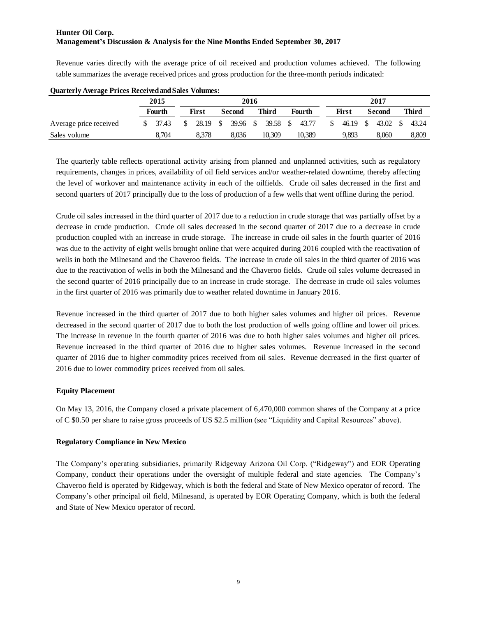Revenue varies directly with the average price of oil received and production volumes achieved. The following table summarizes the average received prices and gross production for the three-month periods indicated:

|                        | 2015   | 2016 |       |     |               |      |        |        |        |  |       |      | 2017     |  |       |  |  |       |  |        |  |       |  |
|------------------------|--------|------|-------|-----|---------------|------|--------|--------|--------|--|-------|------|----------|--|-------|--|--|-------|--|--------|--|-------|--|
|                        | Fourth |      | First |     | <b>Second</b> |      | Third  | Fourth |        |  |       |      |          |  |       |  |  | First |  | Second |  | Third |  |
| Average price received | 37.43  | S.   | 28.19 | - S | 39.96         | - \$ | 39.58  | - \$   | 43.77  |  | 46.19 | - \$ | 43.02 \$ |  | 43.24 |  |  |       |  |        |  |       |  |
| Sales volume           | 8.704  |      | 8.378 |     | 8.036         |      | 10.309 |        | 10.389 |  | 9,893 |      | 8.060    |  | 8,809 |  |  |       |  |        |  |       |  |

#### **Quarterly Average Prices Received and Sales Volumes:**

The quarterly table reflects operational activity arising from planned and unplanned activities, such as regulatory requirements, changes in prices, availability of oil field services and/or weather-related downtime, thereby affecting the level of workover and maintenance activity in each of the oilfields. Crude oil sales decreased in the first and second quarters of 2017 principally due to the loss of production of a few wells that went offline during the period.

Crude oil sales increased in the third quarter of 2017 due to a reduction in crude storage that was partially offset by a decrease in crude production. Crude oil sales decreased in the second quarter of 2017 due to a decrease in crude production coupled with an increase in crude storage. The increase in crude oil sales in the fourth quarter of 2016 was due to the activity of eight wells brought online that were acquired during 2016 coupled with the reactivation of wells in both the Milnesand and the Chaveroo fields. The increase in crude oil sales in the third quarter of 2016 was due to the reactivation of wells in both the Milnesand and the Chaveroo fields. Crude oil sales volume decreased in the second quarter of 2016 principally due to an increase in crude storage. The decrease in crude oil sales volumes in the first quarter of 2016 was primarily due to weather related downtime in January 2016.

Revenue increased in the third quarter of 2017 due to both higher sales volumes and higher oil prices. Revenue decreased in the second quarter of 2017 due to both the lost production of wells going offline and lower oil prices. The increase in revenue in the fourth quarter of 2016 was due to both higher sales volumes and higher oil prices. Revenue increased in the third quarter of 2016 due to higher sales volumes. Revenue increased in the second quarter of 2016 due to higher commodity prices received from oil sales. Revenue decreased in the first quarter of 2016 due to lower commodity prices received from oil sales.

### **Equity Placement**

On May 13, 2016, the Company closed a private placement of 6,470,000 common shares of the Company at a price of C \$0.50 per share to raise gross proceeds of US \$2.5 million (see "Liquidity and Capital Resources" above).

### **Regulatory Compliance in New Mexico**

The Company's operating subsidiaries, primarily Ridgeway Arizona Oil Corp. ("Ridgeway") and EOR Operating Company, conduct their operations under the oversight of multiple federal and state agencies. The Company's Chaveroo field is operated by Ridgeway, which is both the federal and State of New Mexico operator of record. The Company's other principal oil field, Milnesand, is operated by EOR Operating Company, which is both the federal and State of New Mexico operator of record.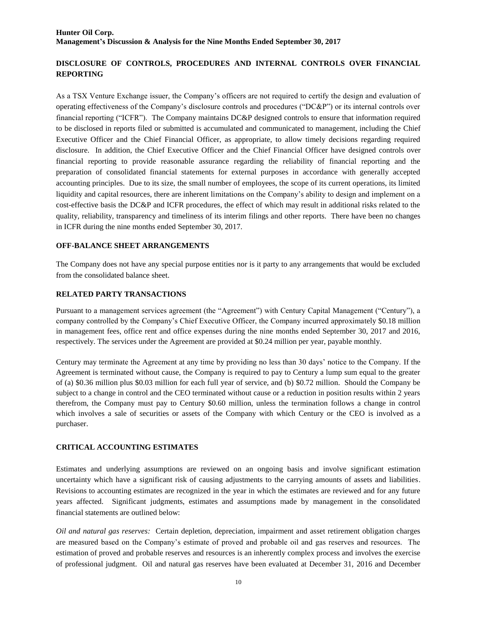# **DISCLOSURE OF CONTROLS, PROCEDURES AND INTERNAL CONTROLS OVER FINANCIAL REPORTING**

As a TSX Venture Exchange issuer, the Company's officers are not required to certify the design and evaluation of operating effectiveness of the Company's disclosure controls and procedures ("DC&P") or its internal controls over financial reporting ("ICFR"). The Company maintains DC&P designed controls to ensure that information required to be disclosed in reports filed or submitted is accumulated and communicated to management, including the Chief Executive Officer and the Chief Financial Officer, as appropriate, to allow timely decisions regarding required disclosure. In addition, the Chief Executive Officer and the Chief Financial Officer have designed controls over financial reporting to provide reasonable assurance regarding the reliability of financial reporting and the preparation of consolidated financial statements for external purposes in accordance with generally accepted accounting principles. Due to its size, the small number of employees, the scope of its current operations, its limited liquidity and capital resources, there are inherent limitations on the Company's ability to design and implement on a cost-effective basis the DC&P and ICFR procedures, the effect of which may result in additional risks related to the quality, reliability, transparency and timeliness of its interim filings and other reports. There have been no changes in ICFR during the nine months ended September 30, 2017.

#### **OFF-BALANCE SHEET ARRANGEMENTS**

The Company does not have any special purpose entities nor is it party to any arrangements that would be excluded from the consolidated balance sheet.

#### **RELATED PARTY TRANSACTIONS**

Pursuant to a management services agreement (the "Agreement") with Century Capital Management ("Century"), a company controlled by the Company's Chief Executive Officer, the Company incurred approximately \$0.18 million in management fees, office rent and office expenses during the nine months ended September 30, 2017 and 2016, respectively. The services under the Agreement are provided at \$0.24 million per year, payable monthly.

Century may terminate the Agreement at any time by providing no less than 30 days' notice to the Company. If the Agreement is terminated without cause, the Company is required to pay to Century a lump sum equal to the greater of (a) \$0.36 million plus \$0.03 million for each full year of service, and (b) \$0.72 million. Should the Company be subject to a change in control and the CEO terminated without cause or a reduction in position results within 2 years therefrom, the Company must pay to Century \$0.60 million, unless the termination follows a change in control which involves a sale of securities or assets of the Company with which Century or the CEO is involved as a purchaser.

### **CRITICAL ACCOUNTING ESTIMATES**

Estimates and underlying assumptions are reviewed on an ongoing basis and involve significant estimation uncertainty which have a significant risk of causing adjustments to the carrying amounts of assets and liabilities. Revisions to accounting estimates are recognized in the year in which the estimates are reviewed and for any future years affected. Significant judgments, estimates and assumptions made by management in the consolidated financial statements are outlined below:

*Oil and natural gas reserves:* Certain depletion, depreciation, impairment and asset retirement obligation charges are measured based on the Company's estimate of proved and probable oil and gas reserves and resources. The estimation of proved and probable reserves and resources is an inherently complex process and involves the exercise of professional judgment. Oil and natural gas reserves have been evaluated at December 31, 2016 and December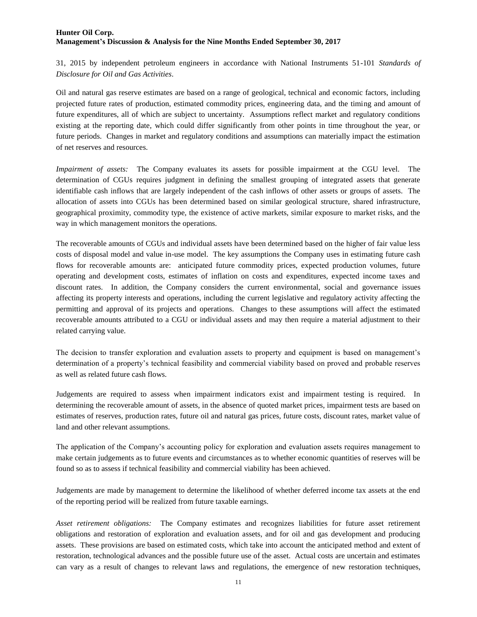31, 2015 by independent petroleum engineers in accordance with National Instruments 51-101 *Standards of Disclosure for Oil and Gas Activities*.

Oil and natural gas reserve estimates are based on a range of geological, technical and economic factors, including projected future rates of production, estimated commodity prices, engineering data, and the timing and amount of future expenditures, all of which are subject to uncertainty. Assumptions reflect market and regulatory conditions existing at the reporting date, which could differ significantly from other points in time throughout the year, or future periods. Changes in market and regulatory conditions and assumptions can materially impact the estimation of net reserves and resources.

*Impairment of assets:* The Company evaluates its assets for possible impairment at the CGU level. The determination of CGUs requires judgment in defining the smallest grouping of integrated assets that generate identifiable cash inflows that are largely independent of the cash inflows of other assets or groups of assets. The allocation of assets into CGUs has been determined based on similar geological structure, shared infrastructure, geographical proximity, commodity type, the existence of active markets, similar exposure to market risks, and the way in which management monitors the operations.

The recoverable amounts of CGUs and individual assets have been determined based on the higher of fair value less costs of disposal model and value in-use model. The key assumptions the Company uses in estimating future cash flows for recoverable amounts are: anticipated future commodity prices, expected production volumes, future operating and development costs, estimates of inflation on costs and expenditures, expected income taxes and discount rates. In addition, the Company considers the current environmental, social and governance issues affecting its property interests and operations, including the current legislative and regulatory activity affecting the permitting and approval of its projects and operations. Changes to these assumptions will affect the estimated recoverable amounts attributed to a CGU or individual assets and may then require a material adjustment to their related carrying value.

The decision to transfer exploration and evaluation assets to property and equipment is based on management's determination of a property's technical feasibility and commercial viability based on proved and probable reserves as well as related future cash flows.

Judgements are required to assess when impairment indicators exist and impairment testing is required. In determining the recoverable amount of assets, in the absence of quoted market prices, impairment tests are based on estimates of reserves, production rates, future oil and natural gas prices, future costs, discount rates, market value of land and other relevant assumptions.

The application of the Company's accounting policy for exploration and evaluation assets requires management to make certain judgements as to future events and circumstances as to whether economic quantities of reserves will be found so as to assess if technical feasibility and commercial viability has been achieved.

Judgements are made by management to determine the likelihood of whether deferred income tax assets at the end of the reporting period will be realized from future taxable earnings.

*Asset retirement obligations:* The Company estimates and recognizes liabilities for future asset retirement obligations and restoration of exploration and evaluation assets, and for oil and gas development and producing assets. These provisions are based on estimated costs, which take into account the anticipated method and extent of restoration, technological advances and the possible future use of the asset. Actual costs are uncertain and estimates can vary as a result of changes to relevant laws and regulations, the emergence of new restoration techniques,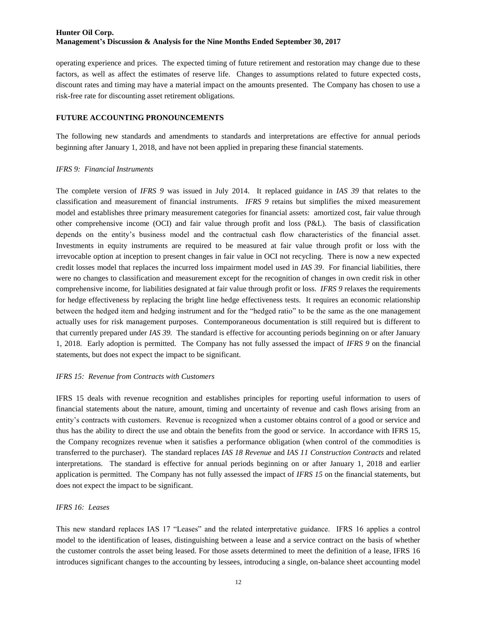operating experience and prices. The expected timing of future retirement and restoration may change due to these factors, as well as affect the estimates of reserve life. Changes to assumptions related to future expected costs, discount rates and timing may have a material impact on the amounts presented. The Company has chosen to use a risk-free rate for discounting asset retirement obligations.

#### **FUTURE ACCOUNTING PRONOUNCEMENTS**

The following new standards and amendments to standards and interpretations are effective for annual periods beginning after January 1, 2018, and have not been applied in preparing these financial statements.

#### *IFRS 9: Financial Instruments*

The complete version of *IFRS 9* was issued in July 2014. It replaced guidance in *IAS 39* that relates to the classification and measurement of financial instruments. *IFRS 9* retains but simplifies the mixed measurement model and establishes three primary measurement categories for financial assets: amortized cost, fair value through other comprehensive income (OCI) and fair value through profit and loss (P&L). The basis of classification depends on the entity's business model and the contractual cash flow characteristics of the financial asset. Investments in equity instruments are required to be measured at fair value through profit or loss with the irrevocable option at inception to present changes in fair value in OCI not recycling. There is now a new expected credit losses model that replaces the incurred loss impairment model used in *IAS 39*. For financial liabilities, there were no changes to classification and measurement except for the recognition of changes in own credit risk in other comprehensive income, for liabilities designated at fair value through profit or loss. *IFRS 9* relaxes the requirements for hedge effectiveness by replacing the bright line hedge effectiveness tests. It requires an economic relationship between the hedged item and hedging instrument and for the "hedged ratio" to be the same as the one management actually uses for risk management purposes. Contemporaneous documentation is still required but is different to that currently prepared under *IAS 39.* The standard is effective for accounting periods beginning on or after January 1, 2018. Early adoption is permitted. The Company has not fully assessed the impact of *IFRS 9* on the financial statements, but does not expect the impact to be significant.

### *IFRS 15: Revenue from Contracts with Customers*

IFRS 15 deals with revenue recognition and establishes principles for reporting useful information to users of financial statements about the nature, amount, timing and uncertainty of revenue and cash flows arising from an entity's contracts with customers. Revenue is recognized when a customer obtains control of a good or service and thus has the ability to direct the use and obtain the benefits from the good or service. In accordance with IFRS 15, the Company recognizes revenue when it satisfies a performance obligation (when control of the commodities is transferred to the purchaser). The standard replaces *IAS 18 Revenue* and *IAS 11 Construction Contracts* and related interpretations. The standard is effective for annual periods beginning on or after January 1, 2018 and earlier application is permitted. The Company has not fully assessed the impact of *IFRS 15* on the financial statements, but does not expect the impact to be significant.

### *IFRS 16: Leases*

This new standard replaces IAS 17 "Leases" and the related interpretative guidance. IFRS 16 applies a control model to the identification of leases, distinguishing between a lease and a service contract on the basis of whether the customer controls the asset being leased. For those assets determined to meet the definition of a lease, IFRS 16 introduces significant changes to the accounting by lessees, introducing a single, on-balance sheet accounting model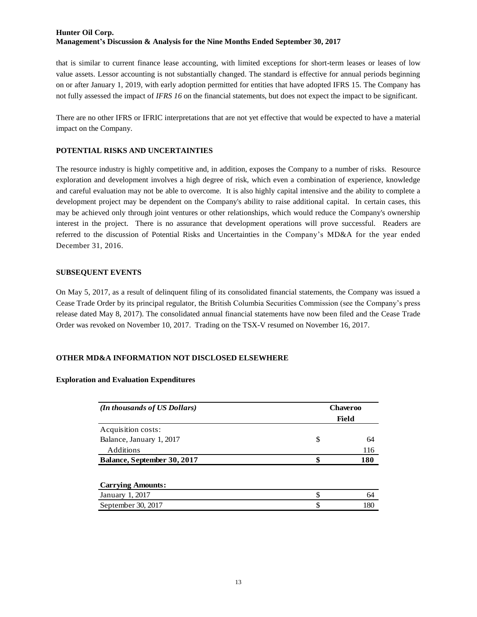that is similar to current finance lease accounting, with limited exceptions for short-term leases or leases of low value assets. Lessor accounting is not substantially changed. The standard is effective for annual periods beginning on or after January 1, 2019, with early adoption permitted for entities that have adopted IFRS 15. The Company has not fully assessed the impact of *IFRS 16* on the financial statements, but does not expect the impact to be significant.

There are no other IFRS or IFRIC interpretations that are not yet effective that would be expected to have a material impact on the Company.

### **POTENTIAL RISKS AND UNCERTAINTIES**

The resource industry is highly competitive and, in addition, exposes the Company to a number of risks. Resource exploration and development involves a high degree of risk, which even a combination of experience, knowledge and careful evaluation may not be able to overcome. It is also highly capital intensive and the ability to complete a development project may be dependent on the Company's ability to raise additional capital. In certain cases, this may be achieved only through joint ventures or other relationships, which would reduce the Company's ownership interest in the project. There is no assurance that development operations will prove successful. Readers are referred to the discussion of Potential Risks and Uncertainties in the Company's MD&A for the year ended December 31, 2016.

### **SUBSEQUENT EVENTS**

On May 5, 2017, as a result of delinquent filing of its consolidated financial statements, the Company was issued a Cease Trade Order by its principal regulator, the British Columbia Securities Commission (see the Company's press release dated May 8, 2017). The consolidated annual financial statements have now been filed and the Cease Trade Order was revoked on November 10, 2017. Trading on the TSX-V resumed on November 16, 2017.

# **OTHER MD&A INFORMATION NOT DISCLOSED ELSEWHERE**

### **Exploration and Evaluation Expenditures**

| <b>Chaveroo</b> |       |  |  |  |  |
|-----------------|-------|--|--|--|--|
|                 | Field |  |  |  |  |
|                 |       |  |  |  |  |
| \$              | 64    |  |  |  |  |
|                 | 116   |  |  |  |  |
| \$              | 180   |  |  |  |  |
|                 |       |  |  |  |  |
|                 |       |  |  |  |  |
| \$.             | 64    |  |  |  |  |
| \$.             | 180   |  |  |  |  |
|                 |       |  |  |  |  |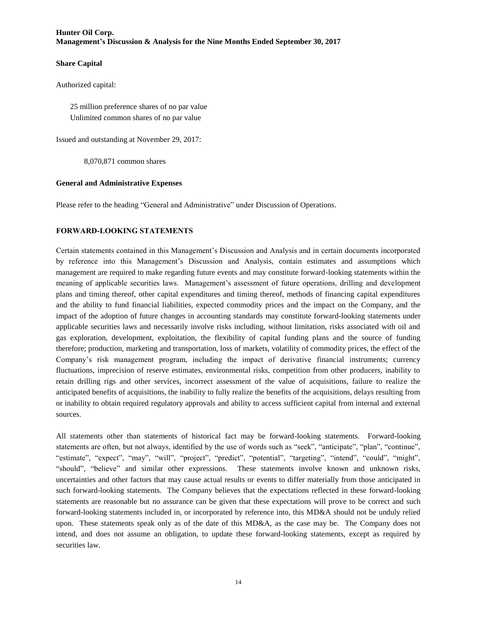### **Share Capital**

Authorized capital:

25 million preference shares of no par value Unlimited common shares of no par value

Issued and outstanding at November 29, 2017:

8,070,871 common shares

#### **General and Administrative Expenses**

Please refer to the heading "General and Administrative" under Discussion of Operations.

### **FORWARD-LOOKING STATEMENTS**

Certain statements contained in this Management's Discussion and Analysis and in certain documents incorporated by reference into this Management's Discussion and Analysis, contain estimates and assumptions which management are required to make regarding future events and may constitute forward-looking statements within the meaning of applicable securities laws. Management's assessment of future operations, drilling and development plans and timing thereof, other capital expenditures and timing thereof, methods of financing capital expenditures and the ability to fund financial liabilities, expected commodity prices and the impact on the Company, and the impact of the adoption of future changes in accounting standards may constitute forward-looking statements under applicable securities laws and necessarily involve risks including, without limitation, risks associated with oil and gas exploration, development, exploitation, the flexibility of capital funding plans and the source of funding therefore; production, marketing and transportation, loss of markets, volatility of commodity prices, the effect of the Company's risk management program, including the impact of derivative financial instruments; currency fluctuations, imprecision of reserve estimates, environmental risks, competition from other producers, inability to retain drilling rigs and other services, incorrect assessment of the value of acquisitions, failure to realize the anticipated benefits of acquisitions, the inability to fully realize the benefits of the acquisitions, delays resulting from or inability to obtain required regulatory approvals and ability to access sufficient capital from internal and external sources.

All statements other than statements of historical fact may be forward-looking statements. Forward-looking statements are often, but not always, identified by the use of words such as "seek", "anticipate", "plan", "continue", "estimate", "expect", "may", "will", "project", "predict", "potential", "targeting", "intend", "could", "might", "should", "believe" and similar other expressions. These statements involve known and unknown risks, uncertainties and other factors that may cause actual results or events to differ materially from those anticipated in such forward-looking statements. The Company believes that the expectations reflected in these forward-looking statements are reasonable but no assurance can be given that these expectations will prove to be correct and such forward-looking statements included in, or incorporated by reference into, this MD&A should not be unduly relied upon. These statements speak only as of the date of this MD&A, as the case may be. The Company does not intend, and does not assume an obligation, to update these forward-looking statements, except as required by securities law.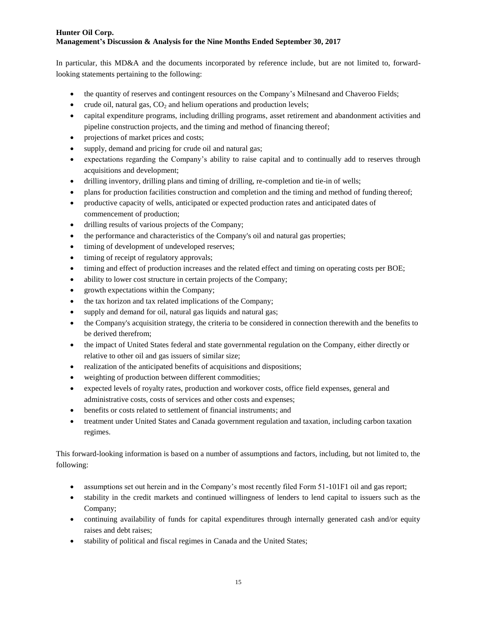In particular, this MD&A and the documents incorporated by reference include, but are not limited to, forwardlooking statements pertaining to the following:

- the quantity of reserves and contingent resources on the Company's Milnesand and Chaveroo Fields;
- crude oil, natural gas,  $CO<sub>2</sub>$  and helium operations and production levels;
- capital expenditure programs, including drilling programs, asset retirement and abandonment activities and pipeline construction projects, and the timing and method of financing thereof;
- projections of market prices and costs;
- supply, demand and pricing for crude oil and natural gas;
- expectations regarding the Company's ability to raise capital and to continually add to reserves through acquisitions and development;
- drilling inventory, drilling plans and timing of drilling, re-completion and tie-in of wells;
- plans for production facilities construction and completion and the timing and method of funding thereof;
- productive capacity of wells, anticipated or expected production rates and anticipated dates of commencement of production;
- drilling results of various projects of the Company;
- the performance and characteristics of the Company's oil and natural gas properties;
- $\bullet$  timing of development of undeveloped reserves;
- $\bullet$  timing of receipt of regulatory approvals;
- timing and effect of production increases and the related effect and timing on operating costs per BOE;
- ability to lower cost structure in certain projects of the Company;
- growth expectations within the Company;
- the tax horizon and tax related implications of the Company:
- supply and demand for oil, natural gas liquids and natural gas;
- the Company's acquisition strategy, the criteria to be considered in connection therewith and the benefits to be derived therefrom;
- the impact of United States federal and state governmental regulation on the Company, either directly or relative to other oil and gas issuers of similar size;
- realization of the anticipated benefits of acquisitions and dispositions;
- weighting of production between different commodities;
- expected levels of royalty rates, production and workover costs, office field expenses, general and administrative costs, costs of services and other costs and expenses;
- benefits or costs related to settlement of financial instruments; and
- treatment under United States and Canada government regulation and taxation, including carbon taxation regimes.

This forward-looking information is based on a number of assumptions and factors, including, but not limited to, the following:

- assumptions set out herein and in the Company's most recently filed Form 51-101F1 oil and gas report;
- stability in the credit markets and continued willingness of lenders to lend capital to issuers such as the Company;
- continuing availability of funds for capital expenditures through internally generated cash and/or equity raises and debt raises;
- stability of political and fiscal regimes in Canada and the United States;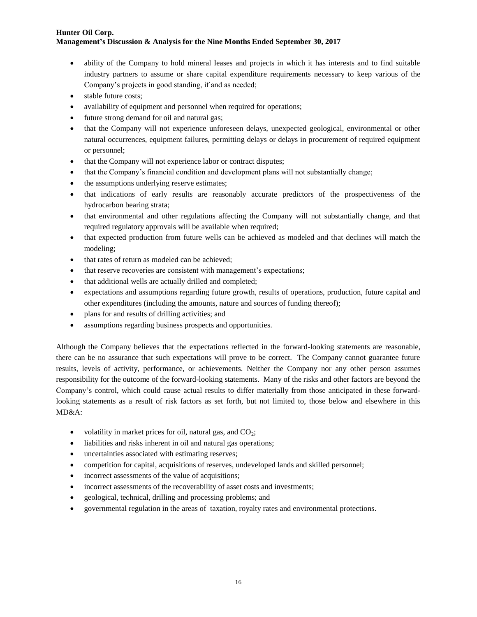- ability of the Company to hold mineral leases and projects in which it has interests and to find suitable industry partners to assume or share capital expenditure requirements necessary to keep various of the Company's projects in good standing, if and as needed;
- stable future costs;
- availability of equipment and personnel when required for operations;
- future strong demand for oil and natural gas;
- that the Company will not experience unforeseen delays, unexpected geological, environmental or other natural occurrences, equipment failures, permitting delays or delays in procurement of required equipment or personnel;
- that the Company will not experience labor or contract disputes;
- that the Company's financial condition and development plans will not substantially change;
- the assumptions underlying reserve estimates;
- that indications of early results are reasonably accurate predictors of the prospectiveness of the hydrocarbon bearing strata;
- that environmental and other regulations affecting the Company will not substantially change, and that required regulatory approvals will be available when required;
- that expected production from future wells can be achieved as modeled and that declines will match the modeling;
- that rates of return as modeled can be achieved;
- that reserve recoveries are consistent with management's expectations;
- that additional wells are actually drilled and completed;
- expectations and assumptions regarding future growth, results of operations, production, future capital and other expenditures (including the amounts, nature and sources of funding thereof);
- plans for and results of drilling activities; and
- assumptions regarding business prospects and opportunities.

Although the Company believes that the expectations reflected in the forward-looking statements are reasonable, there can be no assurance that such expectations will prove to be correct. The Company cannot guarantee future results, levels of activity, performance, or achievements. Neither the Company nor any other person assumes responsibility for the outcome of the forward-looking statements. Many of the risks and other factors are beyond the Company's control, which could cause actual results to differ materially from those anticipated in these forwardlooking statements as a result of risk factors as set forth, but not limited to, those below and elsewhere in this MD&A:

- volatility in market prices for oil, natural gas, and  $CO<sub>2</sub>$ ;
- liabilities and risks inherent in oil and natural gas operations;
- uncertainties associated with estimating reserves;
- competition for capital, acquisitions of reserves, undeveloped lands and skilled personnel;
- incorrect assessments of the value of acquisitions;
- incorrect assessments of the recoverability of asset costs and investments;
- geological, technical, drilling and processing problems; and
- governmental regulation in the areas of taxation, royalty rates and environmental protections.